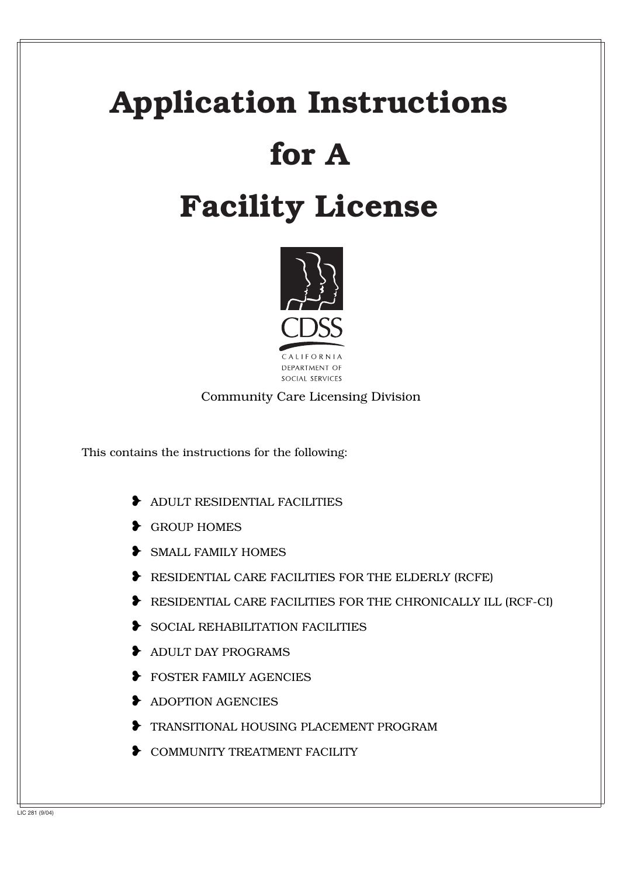# Application Instructions

# for A

# Facility License



Community Care Licensing Division

This contains the instructions for the following:

- ❥ ADULT RESIDENTIAL FACILITIES
- ❥ GROUP HOMES
- SMALL FAMILY HOMES
- ❥ RESIDENTIAL CARE FACILITIES FOR THE ELDERLY (RCFE)
- ❥ RESIDENTIAL CARE FACILITIES FOR THE CHRONICALLY ILL (RCF-CI)
- SOCIAL REHABILITATION FACILITIES
- ❥ ADULT DAY PROGRAMS
- ❥ FOSTER FAMILY AGENCIES
- **EXADOPTION AGENCIES**
- ❥ TRANSITIONAL HOUSING PLACEMENT PROGRAM
- ❥ COMMUNITY TREATMENT FACILITY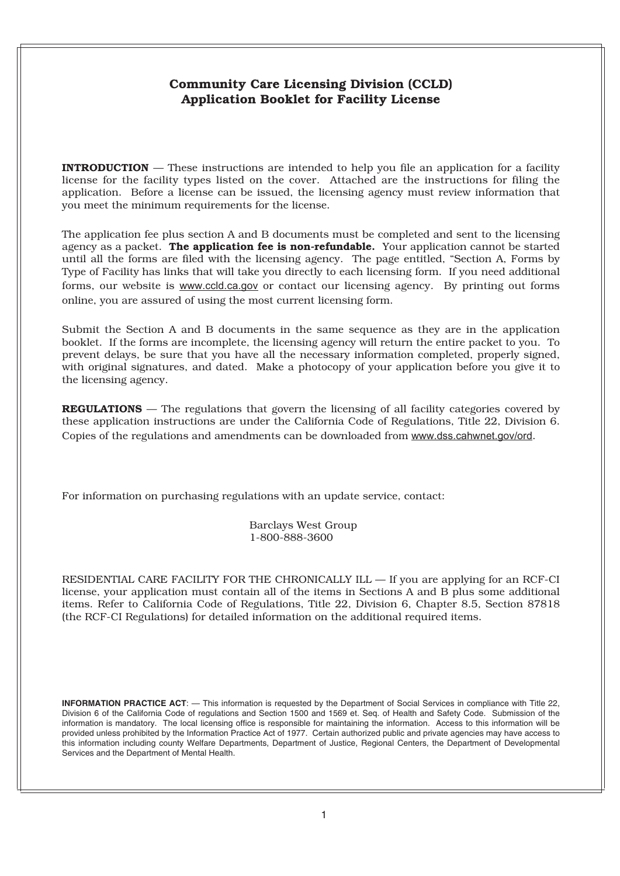#### Community Care Licensing Division (CCLD) Application Booklet for Facility License

**INTRODUCTION** — These instructions are intended to help you file an application for a facility license for the facility types listed on the cover. Attached are the instructions for filing the application. Before a license can be issued, the licensing agency must review information that you meet the minimum requirements for the license.

The application fee plus section A and B documents must be completed and sent to the licensing agency as a packet. The application fee is non-refundable. Your application cannot be started until all the forms are filed with the licensing agency. The page entitled, "Section A, Forms by Type of Facility has links that will take you directly to each licensing form. If you need additional forms, our website is www.ccld.ca.gov or contact our licensing agency. By printing out forms online, you are assured of using the most current licensing form.

Submit the Section A and B documents in the same sequence as they are in the application booklet. If the forms are incomplete, the licensing agency will return the entire packet to you. To prevent delays, be sure that you have all the necessary information completed, properly signed, with original signatures, and dated. Make a photocopy of your application before you give it to the licensing agency.

**REGULATIONS** — The regulations that govern the licensing of all facility categories covered by these application instructions are under the California Code of Regulations, Title 22, Division 6. Copies of the regulations and amendments can be downloaded from www.dss.cahwnet.gov/ord.

For information on purchasing regulations with an update service, contact:

Barclays West Group 1-800-888-3600

RESIDENTIAL CARE FACILITY FOR THE CHRONICALLY ILL — If you are applying for an RCF-CI license, your application must contain all of the items in Sections A and B plus some additional items. Refer to California Code of Regulations, Title 22, Division 6, Chapter 8.5, Section 87818 (the RCF-CI Regulations) for detailed information on the additional required items.

**INFORMATION PRACTICE ACT**: — This information is requested by the Department of Social Services in compliance with Title 22, Division 6 of the California Code of regulations and Section 1500 and 1569 et. Seq. of Health and Safety Code. Submission of the information is mandatory. The local licensing office is responsible for maintaining the information. Access to this information will be provided unless prohibited by the Information Practice Act of 1977. Certain authorized public and private agencies may have access to this information including county Welfare Departments, Department of Justice, Regional Centers, the Department of Developmental Services and the Department of Mental Health.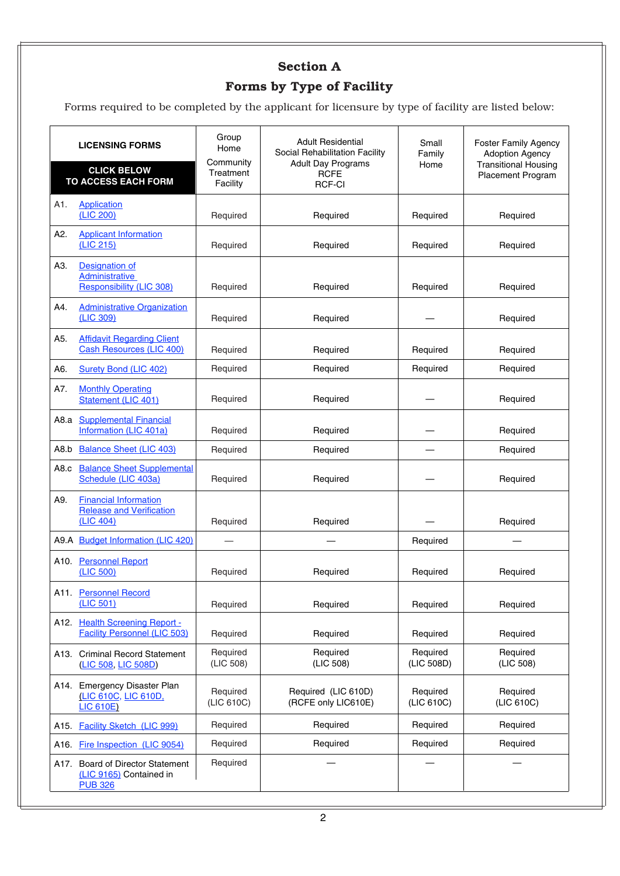# Section A

# Forms by Type of Facility

Forms required to be completed by the applicant for licensure by type of facility are listed below:

|      | <b>LICENSING FORMS</b><br><b>CLICK BELOW</b><br>TO ACCESS EACH FORM               | Group<br>Home<br>Community<br>Treatment<br>Facility | <b>Adult Residential</b><br>Social Rehabilitation Facility<br><b>Adult Day Programs</b><br><b>RCFE</b><br><b>RCF-CI</b> | Small<br>Family<br>Home | <b>Foster Family Agency</b><br><b>Adoption Agency</b><br><b>Transitional Housing</b><br>Placement Program |
|------|-----------------------------------------------------------------------------------|-----------------------------------------------------|-------------------------------------------------------------------------------------------------------------------------|-------------------------|-----------------------------------------------------------------------------------------------------------|
| A1.  | <b>Application</b><br>(LIC 200)                                                   | Required                                            | Required                                                                                                                | Required                | Required                                                                                                  |
| A2.  | <b>Applicant Information</b><br>(LIC 215)                                         | Required                                            | Required                                                                                                                | Required                | Required                                                                                                  |
| A3.  | <b>Designation of</b><br><b>Administrative</b><br><b>Responsibility (LIC 308)</b> | Required                                            | Required                                                                                                                | Required                | Required                                                                                                  |
| A4.  | <b>Administrative Organization</b><br>(LIC 309)                                   | Required                                            | Required                                                                                                                |                         | Required                                                                                                  |
| A5.  | <b>Affidavit Regarding Client</b><br>Cash Resources (LIC 400)                     | Required                                            | Required                                                                                                                | Required                | Required                                                                                                  |
| A6.  | <b>Surety Bond (LIC 402)</b>                                                      | Required                                            | Required                                                                                                                | Required                | Required                                                                                                  |
| A7.  | <b>Monthly Operating</b><br>Statement (LIC 401)                                   | Required                                            | Required                                                                                                                |                         | Required                                                                                                  |
| A8.a | <b>Supplemental Financial</b><br>Information (LIC 401a)                           | Required                                            | Required                                                                                                                |                         | Required                                                                                                  |
| A8.b | <b>Balance Sheet (LIC 403)</b>                                                    | Required                                            | Required                                                                                                                |                         | Required                                                                                                  |
| A8.c | <b>Balance Sheet Supplemental</b><br>Schedule (LIC 403a)                          | Required                                            | Required                                                                                                                |                         | Required                                                                                                  |
| A9.  | <b>Financial Information</b><br><b>Release and Verification</b><br>(LIC 404)      | Required                                            | Required                                                                                                                |                         | Required                                                                                                  |
| A9.A | <b>Budget Information (LIC 420)</b>                                               |                                                     |                                                                                                                         | Required                |                                                                                                           |
|      | A10. Personnel Report<br>(LIC 500)                                                | Required                                            | Required                                                                                                                | Required                | Required                                                                                                  |
|      | A11. Personnel Record<br>(LIC 501)                                                | Required                                            | Required                                                                                                                | Required                | Required                                                                                                  |
|      | A12. Health Screening Report -<br><b>Facility Personnel (LIC 503)</b>             | Required                                            | Required                                                                                                                | Required                | Required                                                                                                  |
|      | A13. Criminal Record Statement<br>(LIC 508, LIC 508D)                             | Required<br>(LIC 508)                               | Required<br>(LIC 508)                                                                                                   | Required<br>(LIC 508D)  | Required<br>(LIC 508)                                                                                     |
|      | A14. Emergency Disaster Plan<br>(LIC 610C, LIC 610D,<br><b>LIC 610E)</b>          | Required<br>(LIC 610C)                              | Required (LIC 610D)<br>(RCFE only LIC610E)                                                                              | Required<br>(LIC 610C)  | Required<br>(LIC 610C)                                                                                    |
| A15. | <b>Facility Sketch (LIC 999)</b>                                                  | Required                                            | Required                                                                                                                | Required                | Required                                                                                                  |
|      | A16. Fire Inspection (LIC 9054)                                                   | Required                                            | Required                                                                                                                | Required                | Required                                                                                                  |
|      | A17. Board of Director Statement<br>(LIC 9165) Contained in<br><b>PUB 326</b>     | Required                                            |                                                                                                                         |                         |                                                                                                           |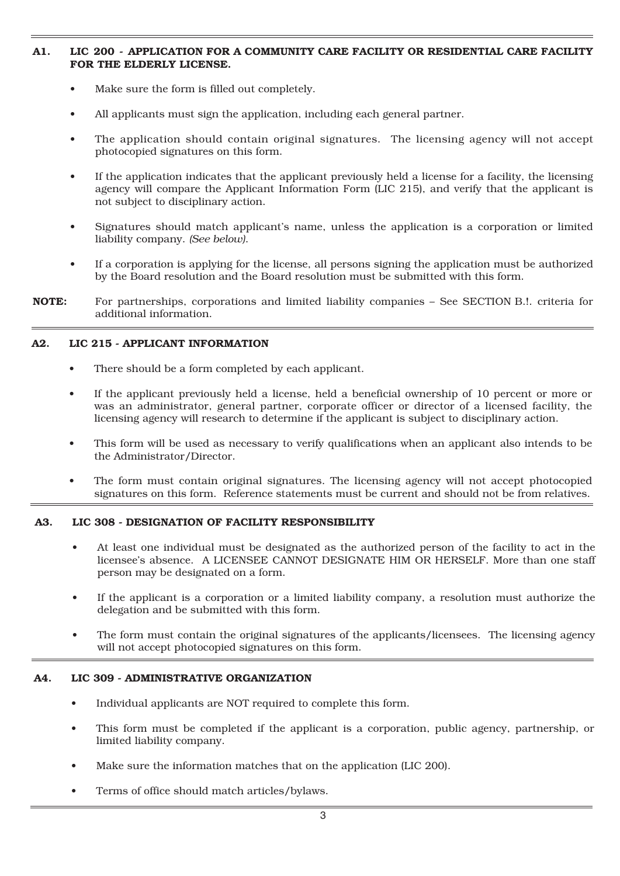#### A1. LIC 200 - APPLICATION FOR A COMMUNITY CARE FACILITY OR RESIDENTIAL CARE FACILITY FOR THE ELDERLY LICENSE.

- Make sure the form is filled out completely.
- All applicants must sign the application, including each general partner.
- The application should contain original signatures. The licensing agency will not accept photocopied signatures on this form.
- If the application indicates that the applicant previously held a license for a facility, the licensing agency will compare the Applicant Information Form (LIC 215), and verify that the applicant is not subject to disciplinary action.
- Signatures should match applicant's name, unless the application is a corporation or limited liability company. *(See below)*.
- If a corporation is applying for the license, all persons signing the application must be authorized by the Board resolution and the Board resolution must be submitted with this form.
- NOTE: For partnerships, corporations and limited liability companies See SECTION B.!. criteria for additional information.

#### A2. LIC 215 - APPLICANT INFORMATION

- There should be a form completed by each applicant.
- If the applicant previously held a license, held a beneficial ownership of 10 percent or more or was an administrator, general partner, corporate officer or director of a licensed facility, the licensing agency will research to determine if the applicant is subject to disciplinary action.
- This form will be used as necessary to verify qualifications when an applicant also intends to be the Administrator/Director.
- The form must contain original signatures. The licensing agency will not accept photocopied signatures on this form. Reference statements must be current and should not be from relatives.

#### A3. LIC 308 - DESIGNATION OF FACILITY RESPONSIBILITY

- At least one individual must be designated as the authorized person of the facility to act in the licensee's absence. A LICENSEE CANNOT DESIGNATE HIM OR HERSELF. More than one staff person may be designated on a form.
- If the applicant is a corporation or a limited liability company, a resolution must authorize the delegation and be submitted with this form.
- The form must contain the original signatures of the applicants/licensees. The licensing agency will not accept photocopied signatures on this form.

#### A4. LIC 309 - ADMINISTRATIVE ORGANIZATION

- Individual applicants are NOT required to complete this form.
- This form must be completed if the applicant is a corporation, public agency, partnership, or limited liability company.
- Make sure the information matches that on the application (LIC 200).
- Terms of office should match articles/bylaws.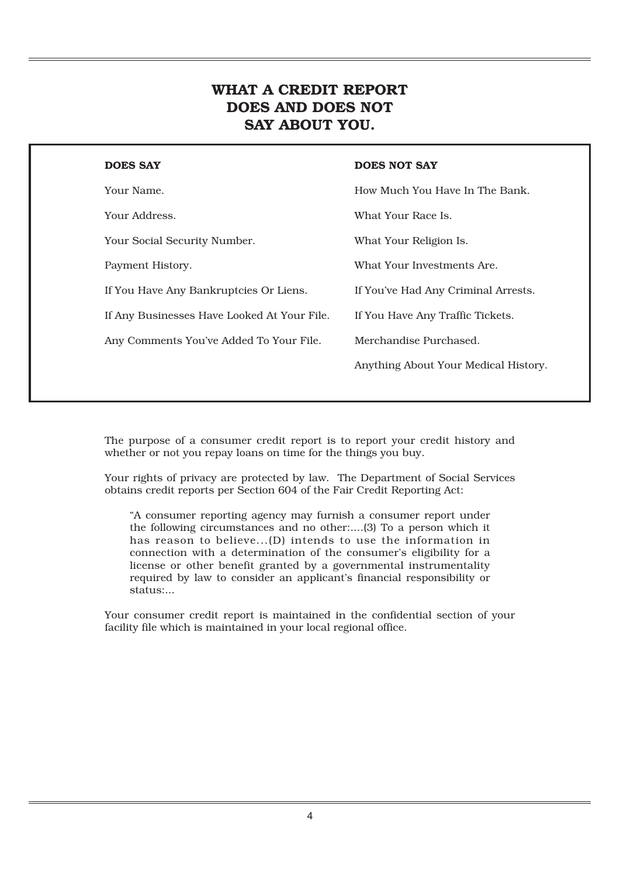# WHAT A CREDIT REPORT DOES AND DOES NOT SAY ABOUT YOU.

| <b>DOES SAY</b>                             | <b>DOES NOT SAY</b>                  |
|---------------------------------------------|--------------------------------------|
| Your Name.                                  | How Much You Have In The Bank.       |
| Your Address.                               | What Your Race Is.                   |
| Your Social Security Number.                | What Your Religion Is.               |
| Payment History.                            | What Your Investments Are.           |
| If You Have Any Bankruptcies Or Liens.      | If You've Had Any Criminal Arrests.  |
| If Any Businesses Have Looked At Your File. | If You Have Any Traffic Tickets.     |
| Any Comments You've Added To Your File.     | Merchandise Purchased.               |
|                                             | Anything About Your Medical History. |
|                                             |                                      |

The purpose of a consumer credit report is to report your credit history and whether or not you repay loans on time for the things you buy.

Your rights of privacy are protected by law. The Department of Social Services obtains credit reports per Section 604 of the Fair Credit Reporting Act:

"A consumer reporting agency may furnish a consumer report under the following circumstances and no other:....(3) To a person which it has reason to believe...(D) intends to use the information in connection with a determination of the consumer's eligibility for a license or other benefit granted by a governmental instrumentality required by law to consider an applicant's financial responsibility or status:...

Your consumer credit report is maintained in the confidential section of your facility file which is maintained in your local regional office.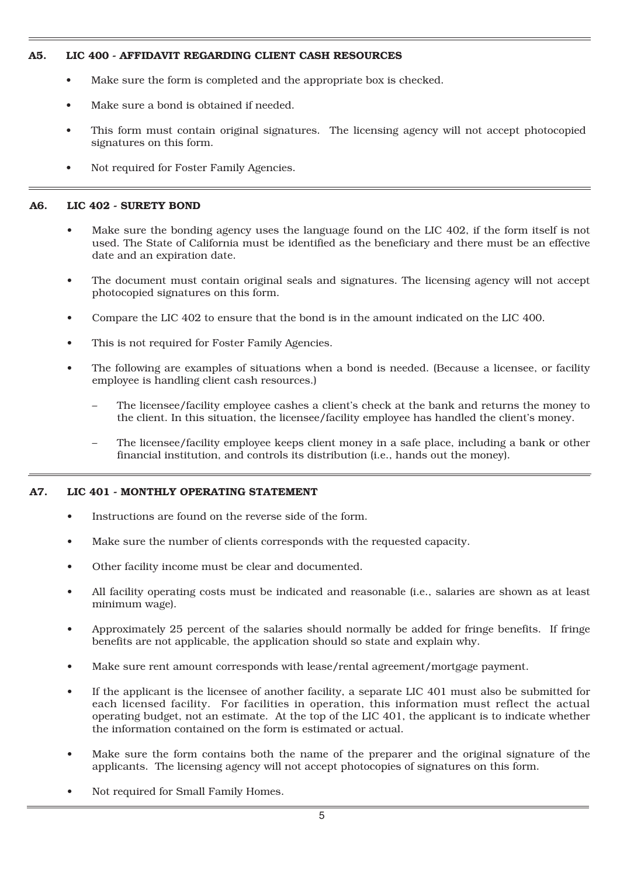#### A5. LIC 400 - AFFIDAVIT REGARDING CLIENT CASH RESOURCES

- Make sure the form is completed and the appropriate box is checked.
- Make sure a bond is obtained if needed.
- This form must contain original signatures. The licensing agency will not accept photocopied signatures on this form.
- Not required for Foster Family Agencies.

#### A6. LIC 402 - SURETY BOND

- Make sure the bonding agency uses the language found on the LIC 402, if the form itself is not used. The State of California must be identified as the beneficiary and there must be an effective date and an expiration date.
- The document must contain original seals and signatures. The licensing agency will not accept photocopied signatures on this form.
- Compare the LIC 402 to ensure that the bond is in the amount indicated on the LIC 400.
- This is not required for Foster Family Agencies.
- The following are examples of situations when a bond is needed. (Because a licensee, or facility employee is handling client cash resources.)
	- The licensee/facility employee cashes a client's check at the bank and returns the money to the client. In this situation, the licensee/facility employee has handled the client's money.
	- The licensee/facility employee keeps client money in a safe place, including a bank or other financial institution, and controls its distribution (i.e., hands out the money).

#### A7. LIC 401 - MONTHLY OPERATING STATEMENT

- Instructions are found on the reverse side of the form.
- Make sure the number of clients corresponds with the requested capacity.
- Other facility income must be clear and documented.
- All facility operating costs must be indicated and reasonable (i.e., salaries are shown as at least minimum wage).
- Approximately 25 percent of the salaries should normally be added for fringe benefits. If fringe benefits are not applicable, the application should so state and explain why.
- Make sure rent amount corresponds with lease/rental agreement/mortgage payment.
- If the applicant is the licensee of another facility, a separate LIC 401 must also be submitted for each licensed facility. For facilities in operation, this information must reflect the actual operating budget, not an estimate. At the top of the LIC 401, the applicant is to indicate whether the information contained on the form is estimated or actual.
- Make sure the form contains both the name of the preparer and the original signature of the applicants. The licensing agency will not accept photocopies of signatures on this form.
- Not required for Small Family Homes.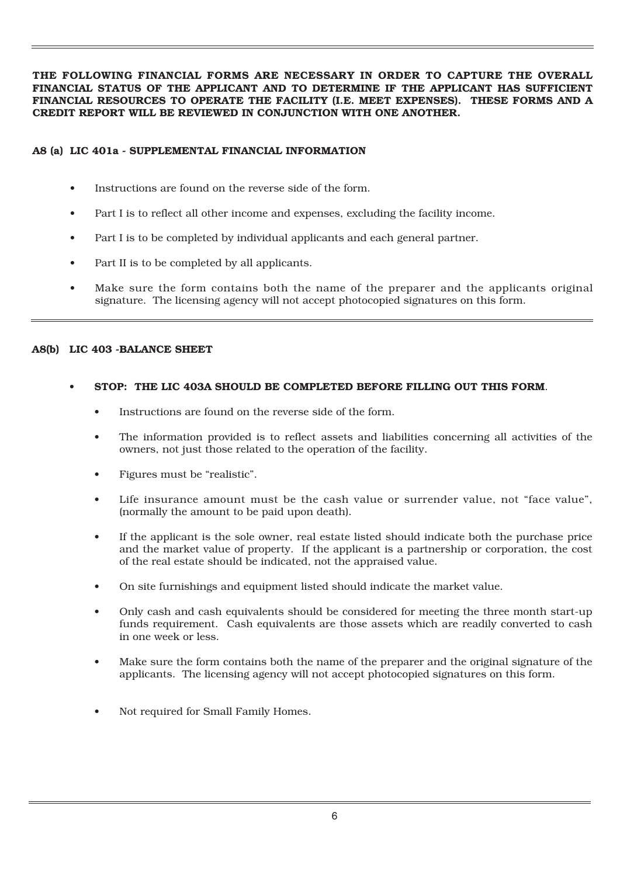#### THE FOLLOWING FINANCIAL FORMS ARE NECESSARY IN ORDER TO CAPTURE THE OVERALL FINANCIAL STATUS OF THE APPLICANT AND TO DETERMINE IF THE APPLICANT HAS SUFFICIENT FINANCIAL RESOURCES TO OPERATE THE FACILITY (I.E. MEET EXPENSES). THESE FORMS AND A CREDIT REPORT WILL BE REVIEWED IN CONJUNCTION WITH ONE ANOTHER.

#### A8 (a) LIC 401a - SUPPLEMENTAL FINANCIAL INFORMATION

- Instructions are found on the reverse side of the form.
- Part I is to reflect all other income and expenses, excluding the facility income.
- Part I is to be completed by individual applicants and each general partner.
- Part II is to be completed by all applicants.
- Make sure the form contains both the name of the preparer and the applicants original signature. The licensing agency will not accept photocopied signatures on this form.

#### A8(b) LIC 403 -BALANCE SHEET

- STOP: THE LIC 403A SHOULD BE COMPLETED BEFORE FILLING OUT THIS FORM.
	- Instructions are found on the reverse side of the form.
	- The information provided is to reflect assets and liabilities concerning all activities of the owners, not just those related to the operation of the facility.
	- Figures must be "realistic".
	- Life insurance amount must be the cash value or surrender value, not "face value", (normally the amount to be paid upon death).
	- If the applicant is the sole owner, real estate listed should indicate both the purchase price and the market value of property. If the applicant is a partnership or corporation, the cost of the real estate should be indicated, not the appraised value.
	- On site furnishings and equipment listed should indicate the market value.
	- Only cash and cash equivalents should be considered for meeting the three month start-up funds requirement. Cash equivalents are those assets which are readily converted to cash in one week or less.
	- Make sure the form contains both the name of the preparer and the original signature of the applicants. The licensing agency will not accept photocopied signatures on this form.
	- Not required for Small Family Homes.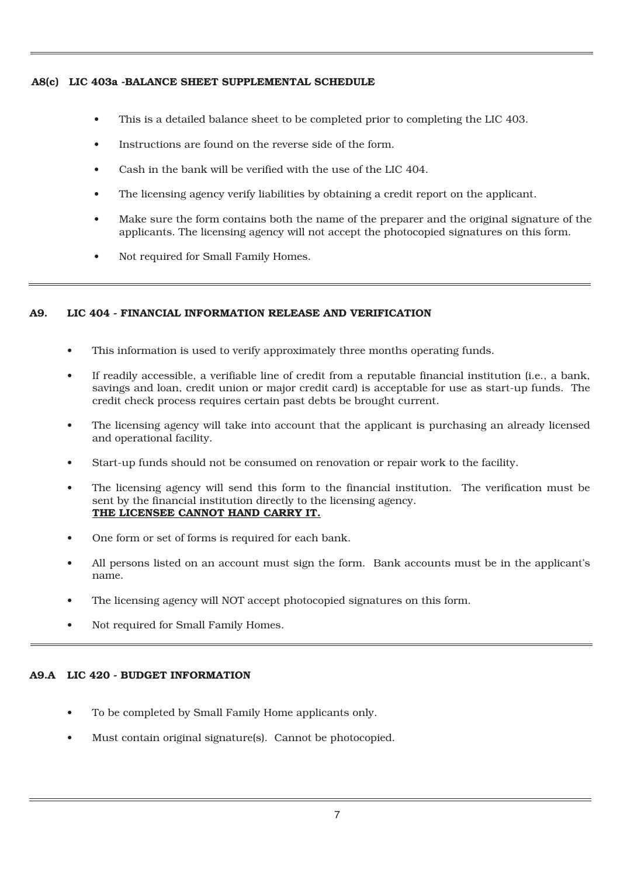#### A8(c) LIC 403a -BALANCE SHEET SUPPLEMENTAL SCHEDULE

- This is a detailed balance sheet to be completed prior to completing the LIC 403.
- Instructions are found on the reverse side of the form.
- Cash in the bank will be verified with the use of the LIC 404.
- The licensing agency verify liabilities by obtaining a credit report on the applicant.
- Make sure the form contains both the name of the preparer and the original signature of the applicants. The licensing agency will not accept the photocopied signatures on this form.
- Not required for Small Family Homes.

#### A9. LIC 404 - FINANCIAL INFORMATION RELEASE AND VERIFICATION

- This information is used to verify approximately three months operating funds.
- If readily accessible, a verifiable line of credit from a reputable financial institution (i.e., a bank, savings and loan, credit union or major credit card) is acceptable for use as start-up funds. The credit check process requires certain past debts be brought current.
- The licensing agency will take into account that the applicant is purchasing an already licensed and operational facility.
- Start-up funds should not be consumed on renovation or repair work to the facility.
- The licensing agency will send this form to the financial institution. The verification must be sent by the financial institution directly to the licensing agency. THE LICENSEE CANNOT HAND CARRY IT.
- One form or set of forms is required for each bank.
- All persons listed on an account must sign the form. Bank accounts must be in the applicant's name.
- The licensing agency will NOT accept photocopied signatures on this form.
- Not required for Small Family Homes.

#### A9.A LIC 420 - BUDGET INFORMATION

- To be completed by Small Family Home applicants only.
- Must contain original signature(s). Cannot be photocopied.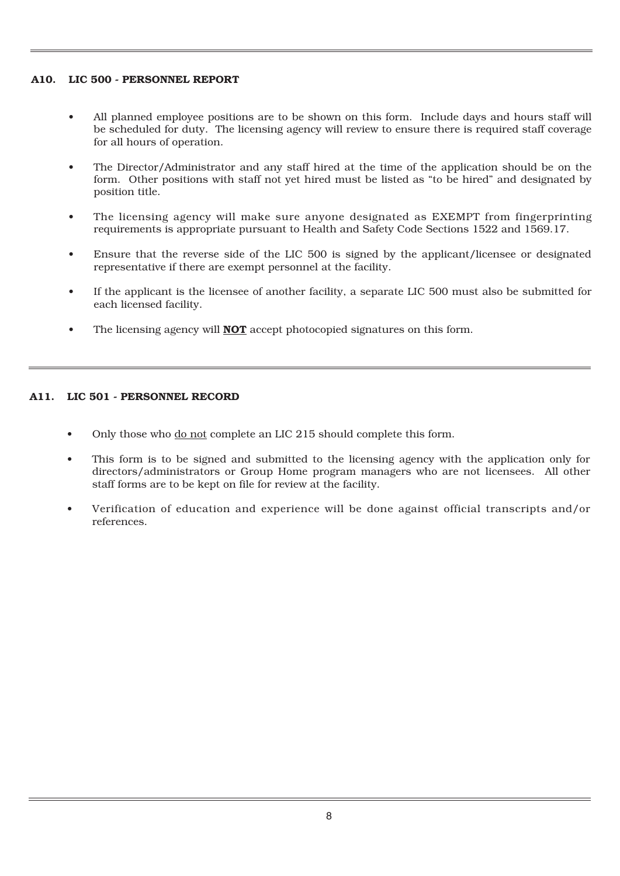#### A10. LIC 500 - PERSONNEL REPORT

- All planned employee positions are to be shown on this form. Include days and hours staff will be scheduled for duty. The licensing agency will review to ensure there is required staff coverage for all hours of operation.
- The Director/Administrator and any staff hired at the time of the application should be on the form. Other positions with staff not yet hired must be listed as "to be hired" and designated by position title.
- The licensing agency will make sure anyone designated as EXEMPT from fingerprinting requirements is appropriate pursuant to Health and Safety Code Sections 1522 and 1569.17.
- Ensure that the reverse side of the LIC 500 is signed by the applicant/licensee or designated representative if there are exempt personnel at the facility.
- If the applicant is the licensee of another facility, a separate LIC 500 must also be submitted for each licensed facility.
- The licensing agency will **NOT** accept photocopied signatures on this form.

#### A11. LIC 501 - PERSONNEL RECORD

- Only those who do not complete an LIC 215 should complete this form.
- This form is to be signed and submitted to the licensing agency with the application only for directors/administrators or Group Home program managers who are not licensees. All other staff forms are to be kept on file for review at the facility.
- Verification of education and experience will be done against official transcripts and/or references.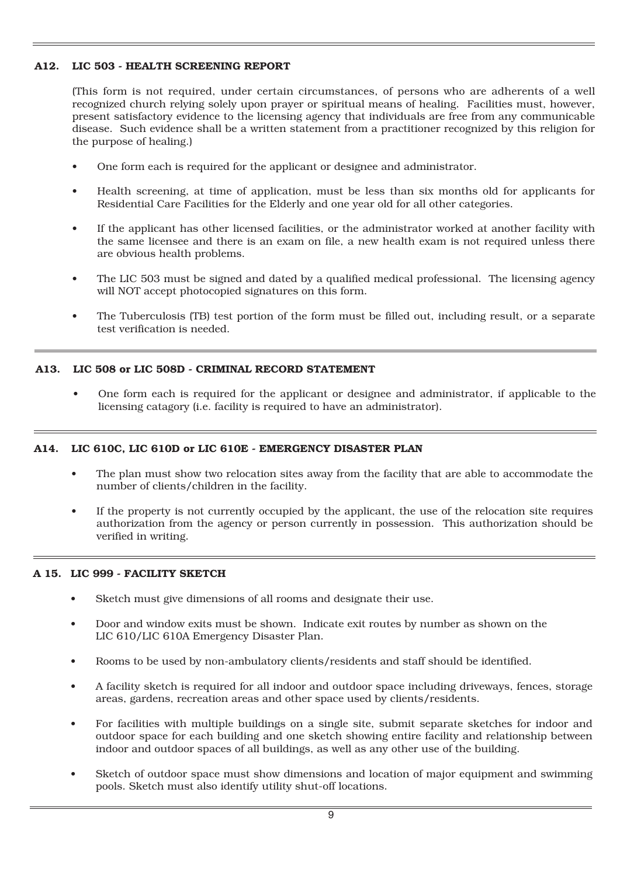#### A12. LIC 503 - HEALTH SCREENING REPORT

(This form is not required, under certain circumstances, of persons who are adherents of a well recognized church relying solely upon prayer or spiritual means of healing. Facilities must, however, present satisfactory evidence to the licensing agency that individuals are free from any communicable disease. Such evidence shall be a written statement from a practitioner recognized by this religion for the purpose of healing.)

- One form each is required for the applicant or designee and administrator.
- Health screening, at time of application, must be less than six months old for applicants for Residential Care Facilities for the Elderly and one year old for all other categories.
- If the applicant has other licensed facilities, or the administrator worked at another facility with the same licensee and there is an exam on file, a new health exam is not required unless there are obvious health problems.
- The LIC 503 must be signed and dated by a qualified medical professional. The licensing agency will NOT accept photocopied signatures on this form.
- The Tuberculosis (TB) test portion of the form must be filled out, including result, or a separate test verification is needed.

#### A13. LIC 508 or LIC 508D - CRIMINAL RECORD STATEMENT

• One form each is required for the applicant or designee and administrator, if applicable to the licensing catagory (i.e. facility is required to have an administrator).

#### A14. LIC 610C, LIC 610D or LIC 610E - EMERGENCY DISASTER PLAN

- The plan must show two relocation sites away from the facility that are able to accommodate the number of clients/children in the facility.
- If the property is not currently occupied by the applicant, the use of the relocation site requires authorization from the agency or person currently in possession. This authorization should be verified in writing.

#### A 15. LIC 999 - FACILITY SKETCH

- Sketch must give dimensions of all rooms and designate their use.
- Door and window exits must be shown. Indicate exit routes by number as shown on the LIC 610/LIC 610A Emergency Disaster Plan.
- Rooms to be used by non-ambulatory clients/residents and staff should be identified.
- A facility sketch is required for all indoor and outdoor space including driveways, fences, storage areas, gardens, recreation areas and other space used by clients/residents.
- For facilities with multiple buildings on a single site, submit separate sketches for indoor and outdoor space for each building and one sketch showing entire facility and relationship between indoor and outdoor spaces of all buildings, as well as any other use of the building.
- Sketch of outdoor space must show dimensions and location of major equipment and swimming pools. Sketch must also identify utility shut-off locations.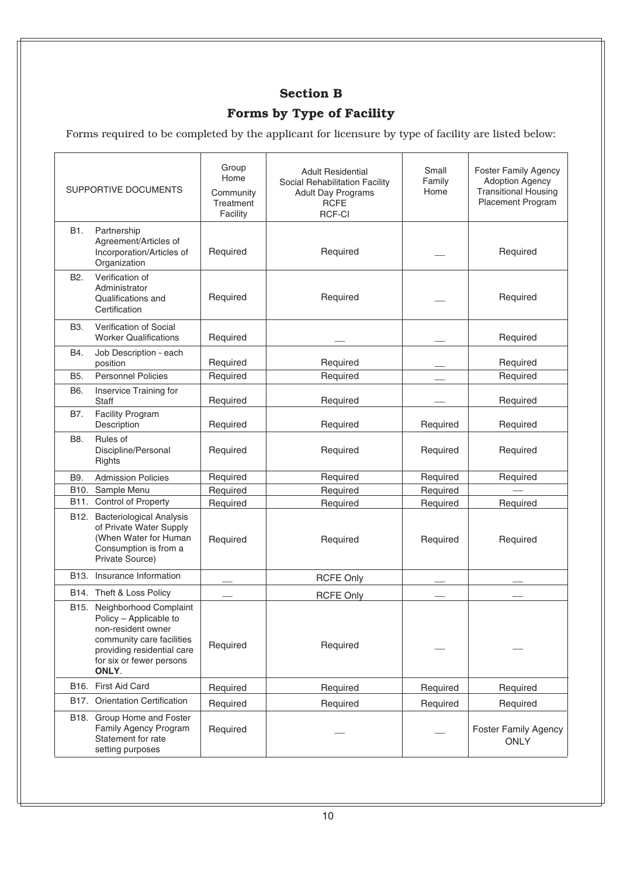### Section B

# Forms by Type of Facility

Forms required to be completed by the applicant for licensure by type of facility are listed below:

| SUPPORTIVE DOCUMENTS |                                                                                                                                                                             | Group<br>Home<br>Community<br>Treatment<br>Facility | <b>Adult Residential</b><br>Social Rehabilitation Facility<br><b>Adult Day Programs</b><br><b>RCFE</b><br><b>RCF-CI</b> | Small<br>Family<br>Home | <b>Foster Family Agency</b><br><b>Adoption Agency</b><br><b>Transitional Housing</b><br>Placement Program |
|----------------------|-----------------------------------------------------------------------------------------------------------------------------------------------------------------------------|-----------------------------------------------------|-------------------------------------------------------------------------------------------------------------------------|-------------------------|-----------------------------------------------------------------------------------------------------------|
| B1.                  | Partnership<br>Agreement/Articles of<br>Incorporation/Articles of<br>Organization                                                                                           | Required                                            | Required                                                                                                                |                         | Required                                                                                                  |
| B <sub>2</sub> .     | Verification of<br>Administrator<br>Qualifications and<br>Certification                                                                                                     | Required                                            | Required                                                                                                                |                         | Required                                                                                                  |
| B <sub>3</sub> .     | Verification of Social<br><b>Worker Qualifications</b>                                                                                                                      | Required                                            |                                                                                                                         |                         | Required                                                                                                  |
| B4.                  | Job Description - each                                                                                                                                                      |                                                     |                                                                                                                         |                         |                                                                                                           |
| B5.                  | position<br><b>Personnel Policies</b>                                                                                                                                       | Required<br>Required                                | Required<br>Required                                                                                                    |                         | Required<br>Required                                                                                      |
|                      |                                                                                                                                                                             |                                                     |                                                                                                                         |                         |                                                                                                           |
| B6.                  | Inservice Training for<br><b>Staff</b>                                                                                                                                      | Required                                            | Required                                                                                                                |                         | Required                                                                                                  |
| B7.                  | <b>Facility Program</b><br>Description                                                                                                                                      | Required                                            | Required                                                                                                                | Required                | Required                                                                                                  |
| B8.                  | Rules of<br>Discipline/Personal<br>Rights                                                                                                                                   | Required                                            | Required                                                                                                                | Required                | Required                                                                                                  |
| B9.                  | <b>Admission Policies</b>                                                                                                                                                   | Required                                            | Required                                                                                                                | Required                | Required                                                                                                  |
| B10.                 | Sample Menu                                                                                                                                                                 | Required                                            | Required                                                                                                                | Required                |                                                                                                           |
|                      | B11. Control of Property                                                                                                                                                    | Required                                            | Required                                                                                                                | Required                | Required                                                                                                  |
|                      | B12. Bacteriological Analysis<br>of Private Water Supply<br>(When Water for Human<br>Consumption is from a<br>Private Source)                                               | Required                                            | Required                                                                                                                | Required                | Required                                                                                                  |
| B13.                 | Insurance Information                                                                                                                                                       |                                                     | <b>RCFE Only</b>                                                                                                        |                         |                                                                                                           |
|                      | B14. Theft & Loss Policy                                                                                                                                                    |                                                     | <b>RCFE Only</b>                                                                                                        |                         |                                                                                                           |
|                      | B15. Neighborhood Complaint<br>Policy - Applicable to<br>non-resident owner<br>community care facilities<br>providing residential care<br>for six or fewer persons<br>ONLY. | Required                                            | Required                                                                                                                |                         |                                                                                                           |
|                      | B16. First Aid Card                                                                                                                                                         | Required                                            | Required                                                                                                                | Required                | Required                                                                                                  |
| B17.                 | <b>Orientation Certification</b>                                                                                                                                            | Required                                            | Required                                                                                                                | Required                | Required                                                                                                  |
|                      | B18. Group Home and Foster<br>Family Agency Program<br>Statement for rate<br>setting purposes                                                                               | Required                                            |                                                                                                                         |                         | <b>Foster Family Agency</b><br><b>ONLY</b>                                                                |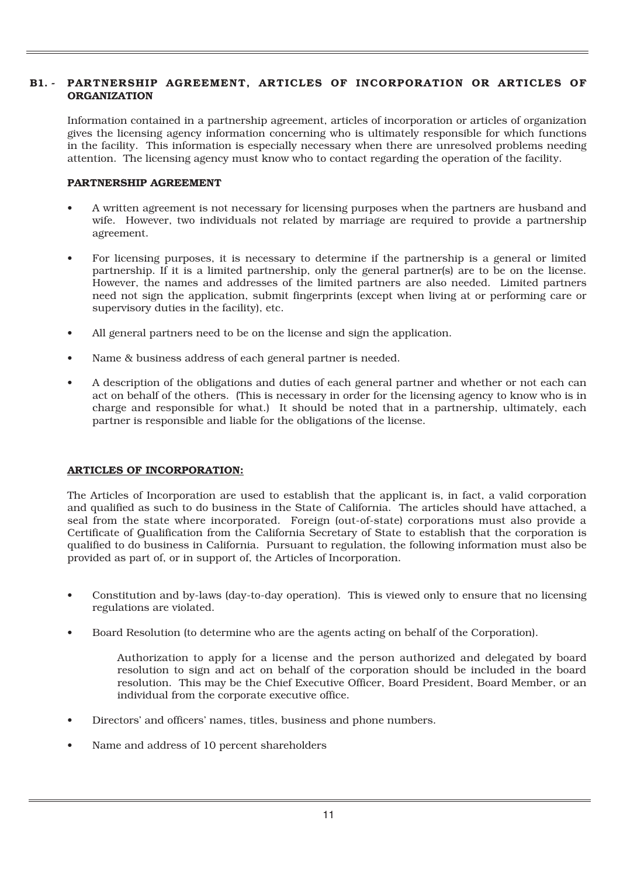#### B1. - PARTNERSHIP AGREEMENT. ARTICLES OF INCORPORATION OR ARTICLES OF ORGANIZATION

Information contained in a partnership agreement, articles of incorporation or articles of organization gives the licensing agency information concerning who is ultimately responsible for which functions in the facility. This information is especially necessary when there are unresolved problems needing attention. The licensing agency must know who to contact regarding the operation of the facility.

#### PARTNERSHIP AGREEMENT

- A written agreement is not necessary for licensing purposes when the partners are husband and wife. However, two individuals not related by marriage are required to provide a partnership agreement.
- For licensing purposes, it is necessary to determine if the partnership is a general or limited partnership. If it is a limited partnership, only the general partner(s) are to be on the license. However, the names and addresses of the limited partners are also needed. Limited partners need not sign the application, submit fingerprints (except when living at or performing care or supervisory duties in the facility), etc.
- All general partners need to be on the license and sign the application.
- Name & business address of each general partner is needed.
- A description of the obligations and duties of each general partner and whether or not each can act on behalf of the others. (This is necessary in order for the licensing agency to know who is in charge and responsible for what.) It should be noted that in a partnership, ultimately, each partner is responsible and liable for the obligations of the license.

#### ARTICLES OF INCORPORATION:

The Articles of Incorporation are used to establish that the applicant is, in fact, a valid corporation and qualified as such to do business in the State of California. The articles should have attached, a seal from the state where incorporated. Foreign (out-of-state) corporations must also provide a Certificate of Qualification from the California Secretary of State to establish that the corporation is qualified to do business in California. Pursuant to regulation, the following information must also be provided as part of, or in support of, the Articles of Incorporation.

- Constitution and by-laws (day-to-day operation). This is viewed only to ensure that no licensing regulations are violated.
- Board Resolution (to determine who are the agents acting on behalf of the Corporation).

Authorization to apply for a license and the person authorized and delegated by board resolution to sign and act on behalf of the corporation should be included in the board resolution. This may be the Chief Executive Officer, Board President, Board Member, or an individual from the corporate executive office.

- Directors' and officers' names, titles, business and phone numbers.
- Name and address of 10 percent shareholders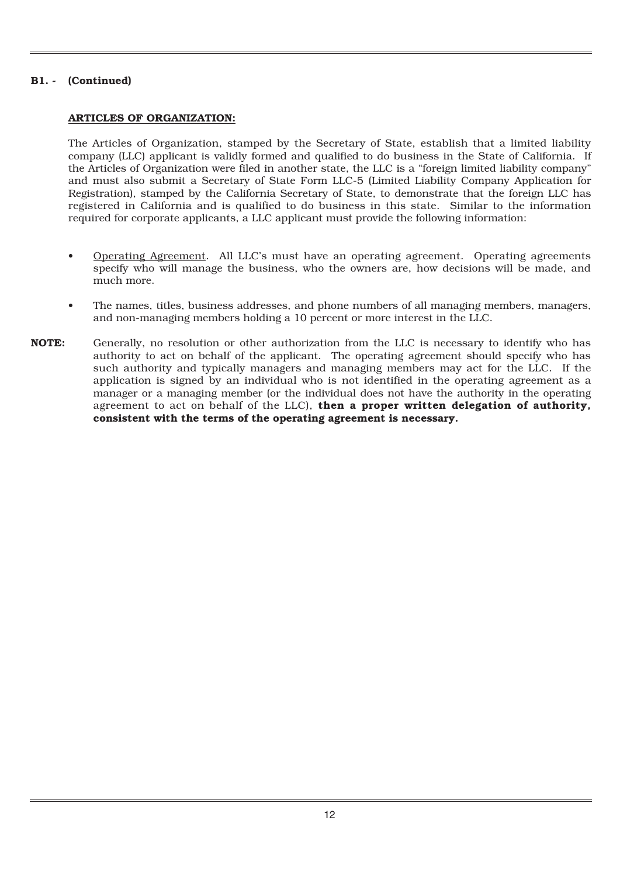#### B1. - (Continued)

#### ARTICLES OF ORGANIZATION:

The Articles of Organization, stamped by the Secretary of State, establish that a limited liability company (LLC) applicant is validly formed and qualified to do business in the State of California. If the Articles of Organization were filed in another state, the LLC is a "foreign limited liability company" and must also submit a Secretary of State Form LLC-5 (Limited Liability Company Application for Registration), stamped by the California Secretary of State, to demonstrate that the foreign LLC has registered in California and is qualified to do business in this state. Similar to the information required for corporate applicants, a LLC applicant must provide the following information:

- Operating Agreement. All LLC's must have an operating agreement. Operating agreements specify who will manage the business, who the owners are, how decisions will be made, and much more.
- The names, titles, business addresses, and phone numbers of all managing members, managers, and non-managing members holding a 10 percent or more interest in the LLC.
- NOTE: Generally, no resolution or other authorization from the LLC is necessary to identify who has authority to act on behalf of the applicant. The operating agreement should specify who has such authority and typically managers and managing members may act for the LLC. If the application is signed by an individual who is not identified in the operating agreement as a manager or a managing member (or the individual does not have the authority in the operating agreement to act on behalf of the LLC), then a proper written delegation of authority, consistent with the terms of the operating agreement is necessary.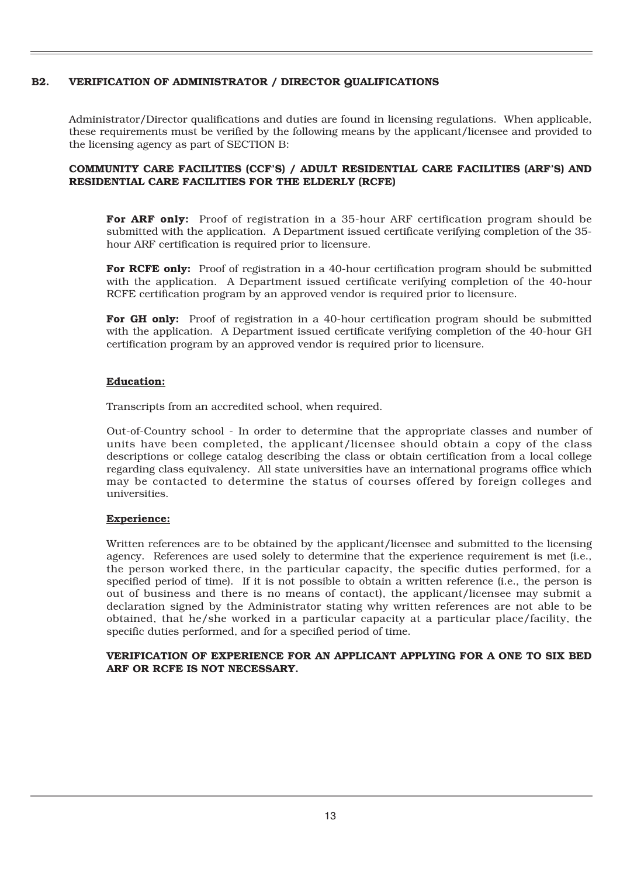#### B2. VERIFICATION OF ADMINISTRATOR / DIRECTOR QUALIFICATIONS

Administrator/Director qualifications and duties are found in licensing regulations. When applicable, these requirements must be verified by the following means by the applicant/licensee and provided to the licensing agency as part of SECTION B:

#### COMMUNITY CARE FACILITIES (CCF'S) / ADULT RESIDENTIAL CARE FACILITIES (ARF'S) AND RESIDENTIAL CARE FACILITIES FOR THE ELDERLY (RCFE)

For ARF only: Proof of registration in a 35-hour ARF certification program should be submitted with the application. A Department issued certificate verifying completion of the 35 hour ARF certification is required prior to licensure.

For RCFE only: Proof of registration in a 40-hour certification program should be submitted with the application. A Department issued certificate verifying completion of the 40-hour RCFE certification program by an approved vendor is required prior to licensure.

For GH only: Proof of registration in a 40-hour certification program should be submitted with the application. A Department issued certificate verifying completion of the 40-hour GH certification program by an approved vendor is required prior to licensure.

#### Education:

Transcripts from an accredited school, when required.

Out-of-Country school - In order to determine that the appropriate classes and number of units have been completed, the applicant/licensee should obtain a copy of the class descriptions or college catalog describing the class or obtain certification from a local college regarding class equivalency. All state universities have an international programs office which may be contacted to determine the status of courses offered by foreign colleges and universities.

#### Experience:

Written references are to be obtained by the applicant/licensee and submitted to the licensing agency. References are used solely to determine that the experience requirement is met (i.e., the person worked there, in the particular capacity, the specific duties performed, for a specified period of time). If it is not possible to obtain a written reference (i.e., the person is out of business and there is no means of contact), the applicant/licensee may submit a declaration signed by the Administrator stating why written references are not able to be obtained, that he/she worked in a particular capacity at a particular place/facility, the specific duties performed, and for a specified period of time.

#### VERIFICATION OF EXPERIENCE FOR AN APPLICANT APPLYING FOR A ONE TO SIX BED ARF OR RCFE IS NOT NECESSARY.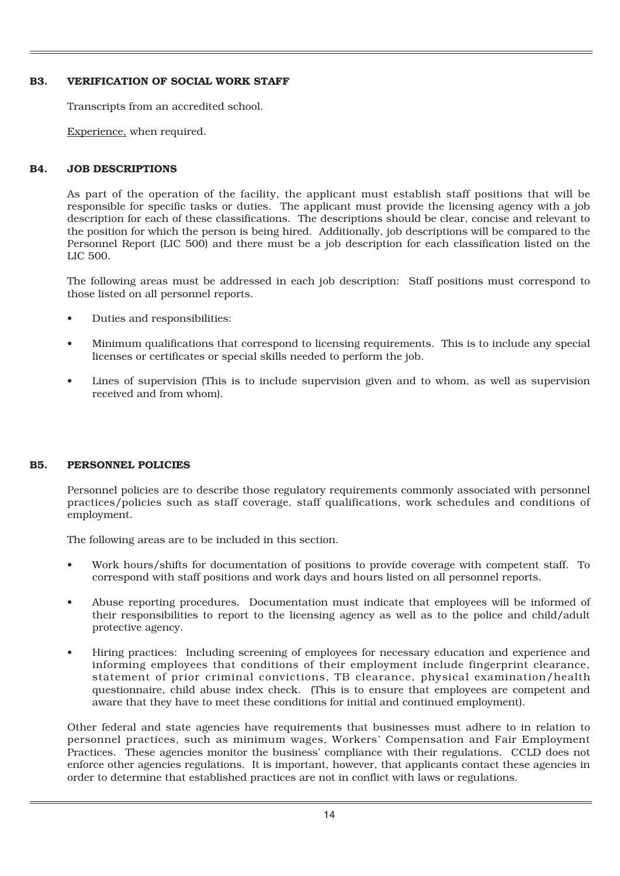#### B3. VERIFICATION OF SOCIAL WORK STAFF

Transcripts from an accredited school.

Experience, when required.

#### B4. JOB DESCRIPTIONS

As part of the operation of the facility, the applicant must establish staff positions that will be responsible for specific tasks or duties. The applicant must provide the licensing agency with a job description for each of these classifications. The descriptions should be clear, concise and relevant to the position for which the person is being hired. Additionally, job descriptions will be compared to the Personnel Report (LIC 500) and there must be a job description for each classification listed on the LIC 500.

The following areas must be addressed in each job description: Staff positions must correspond to those listed on all personnel reports.

- Duties and responsibilities:
- Minimum qualifications that correspond to licensing requirements. This is to include any special licenses or certificates or special skills needed to perform the job.
- Lines of supervision (This is to include supervision given and to whom, as well as supervision received and from whom).

#### B5. PERSONNEL POLICIES

Personnel policies are to describe those regulatory requirements commonly associated with personnel practices/policies such as staff coverage, staff qualifications, work schedules and conditions of employment.

The following areas are to be included in this section.

- Work hours/shifts for documentation of positions to provide coverage with competent staff. To correspond with staff positions and work days and hours listed on all personnel reports.
- Abuse reporting procedures. Documentation must indicate that employees will be informed of their responsibilities to report to the licensing agency as well as to the police and child/adult protective agency.
- Hiring practices: Including screening of employees for necessary education and experience and informing employees that conditions of their employment include fingerprint clearance, statement of prior criminal convictions, TB clearance, physical examination/health questionnaire, child abuse index check. (This is to ensure that employees are competent and aware that they have to meet these conditions for initial and continued employment).

Other federal and state agencies have requirements that businesses must adhere to in relation to personnel practices, such as minimum wages, Workers' Compensation and Fair Employment Practices. These agencies monitor the business' compliance with their regulations. CCLD does not enforce other agencies regulations. It is important, however, that applicants contact these agencies in order to determine that established practices are not in conflict with laws or regulations.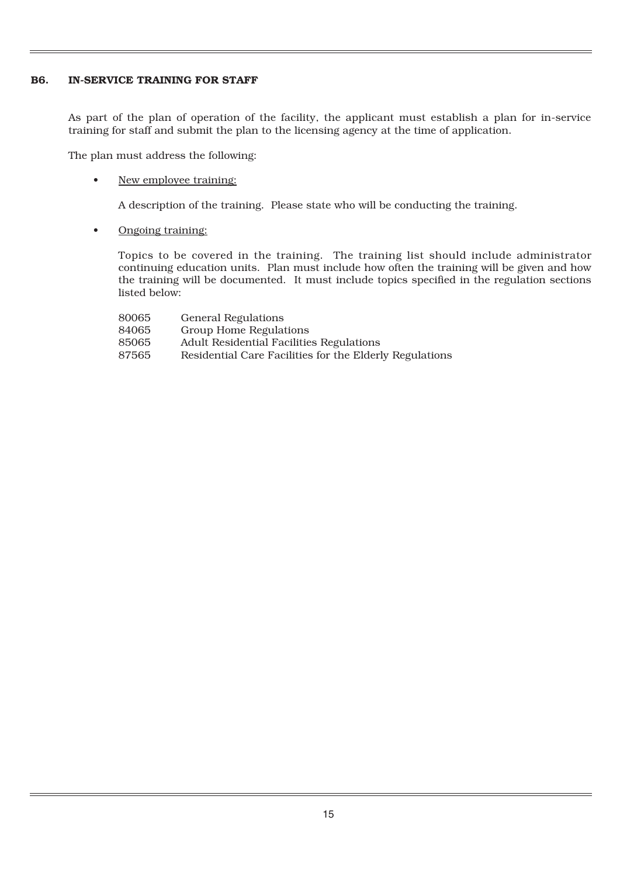#### B6. IN-SERVICE TRAINING FOR STAFF

As part of the plan of operation of the facility, the applicant must establish a plan for in-service training for staff and submit the plan to the licensing agency at the time of application.

The plan must address the following:

New employee training:

A description of the training. Please state who will be conducting the training.

• Ongoing training:

Topics to be covered in the training. The training list should include administrator continuing education units. Plan must include how often the training will be given and how the training will be documented. It must include topics specified in the regulation sections listed below:

| 80065 | <b>General Regulations</b>                              |
|-------|---------------------------------------------------------|
| 84065 | Group Home Regulations                                  |
| 85065 | <b>Adult Residential Facilities Regulations</b>         |
| 87565 | Residential Care Facilities for the Elderly Regulations |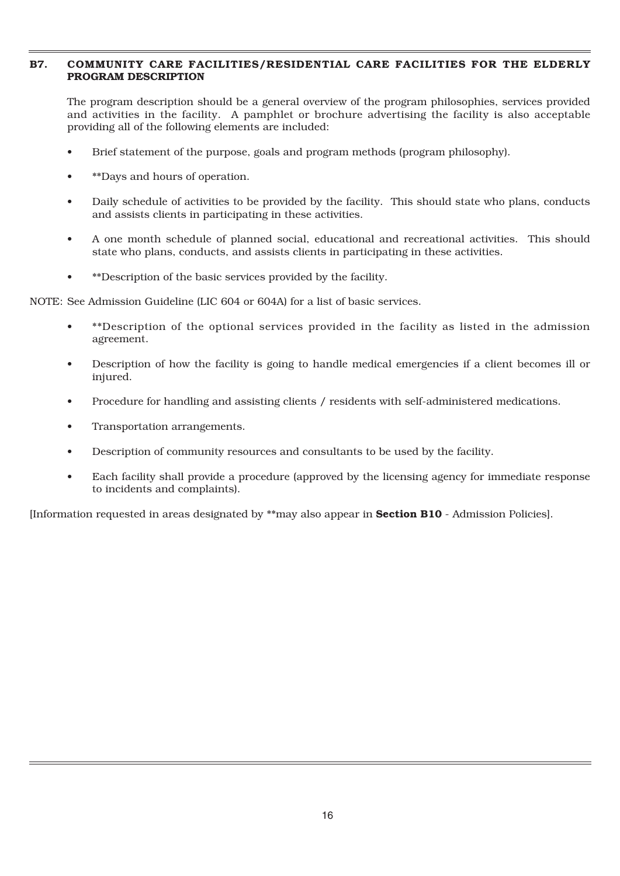#### B7. COMMUNITY CARE FACILITIES/RESIDENTIAL CARE FACILITIES FOR THE ELDERLY PROGRAM DESCRIPTION

The program description should be a general overview of the program philosophies, services provided and activities in the facility. A pamphlet or brochure advertising the facility is also acceptable providing all of the following elements are included:

- Brief statement of the purpose, goals and program methods (program philosophy).
- \*\*Days and hours of operation.
- Daily schedule of activities to be provided by the facility. This should state who plans, conducts and assists clients in participating in these activities.
- A one month schedule of planned social, educational and recreational activities. This should state who plans, conducts, and assists clients in participating in these activities.
- \*\*Description of the basic services provided by the facility.

NOTE: See Admission Guideline (LIC 604 or 604A) for a list of basic services.

- \*\*Description of the optional services provided in the facility as listed in the admission agreement.
- Description of how the facility is going to handle medical emergencies if a client becomes ill or injured.
- Procedure for handling and assisting clients / residents with self-administered medications.
- Transportation arrangements.
- Description of community resources and consultants to be used by the facility.
- Each facility shall provide a procedure (approved by the licensing agency for immediate response to incidents and complaints).

[Information requested in areas designated by \*\*may also appear in Section B10 - Admission Policies].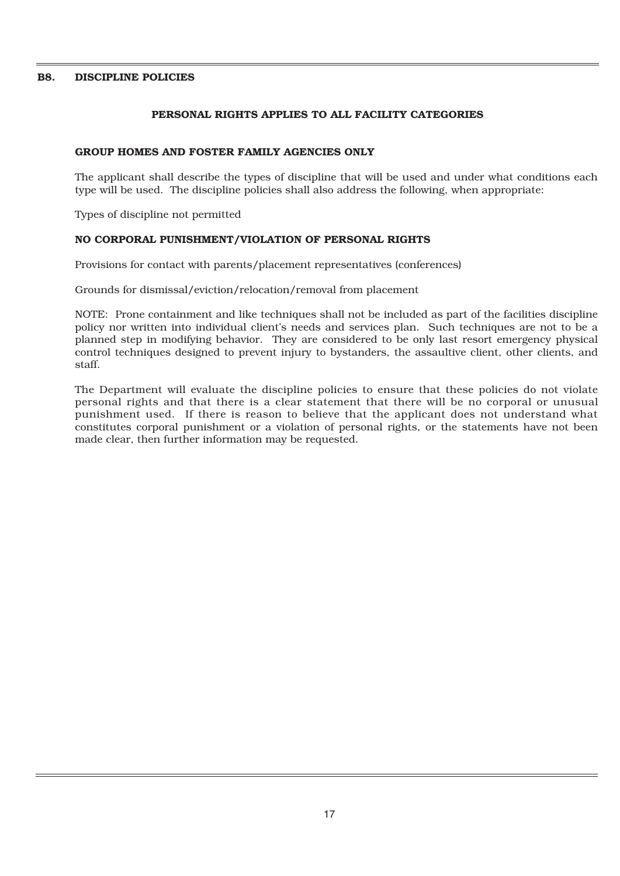#### B8. DISCIPLINE POLICIES

#### PERSONAL RIGHTS APPLIES TO ALL FACILITY CATEGORIES

#### GROUP HOMES AND FOSTER FAMILY AGENCIES ONLY

The applicant shall describe the types of discipline that will be used and under what conditions each type will be used. The discipline policies shall also address the following, when appropriate:

Types of discipline not permitted

#### NO CORPORAL PUNISHMENT/VIOLATION OF PERSONAL RIGHTS

Provisions for contact with parents/placement representatives (conferences)

Grounds for dismissal/eviction/relocation/removal from placement

NOTE: Prone containment and like techniques shall not be included as part of the facilities discipline policy nor written into individual client's needs and services plan. Such techniques are not to be a planned step in modifying behavior. They are considered to be only last resort emergency physical control techniques designed to prevent injury to bystanders, the assaultive client, other clients, and staff.

The Department will evaluate the discipline policies to ensure that these policies do not violate personal rights and that there is a clear statement that there will be no corporal or unusual punishment used. If there is reason to believe that the applicant does not understand what constitutes corporal punishment or a violation of personal rights, or the statements have not been made clear, then further information may be requested.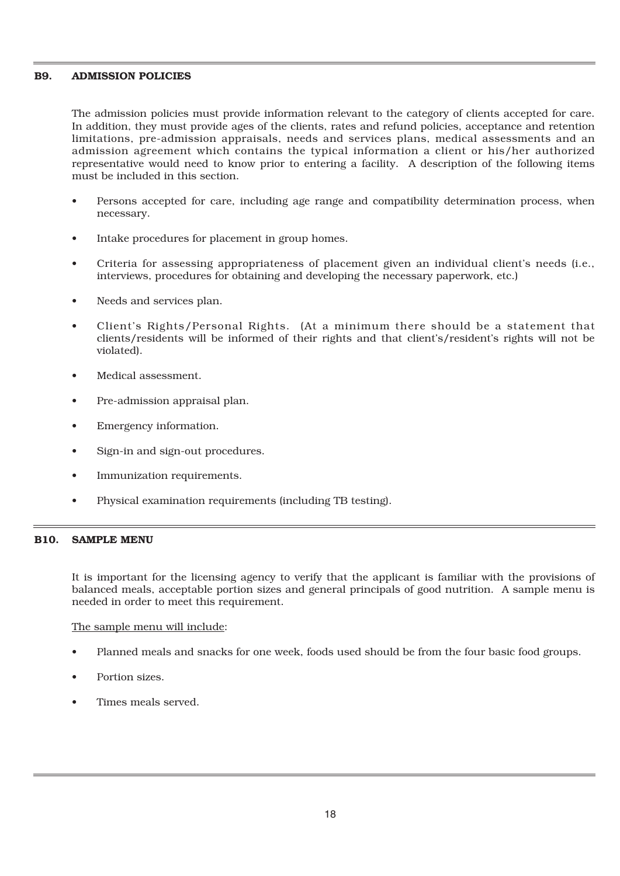#### B9. ADMISSION POLICIES

The admission policies must provide information relevant to the category of clients accepted for care. In addition, they must provide ages of the clients, rates and refund policies, acceptance and retention limitations, pre-admission appraisals, needs and services plans, medical assessments and an admission agreement which contains the typical information a client or his/her authorized representative would need to know prior to entering a facility. A description of the following items must be included in this section.

- Persons accepted for care, including age range and compatibility determination process, when necessary.
- Intake procedures for placement in group homes.
- Criteria for assessing appropriateness of placement given an individual client's needs (i.e., interviews, procedures for obtaining and developing the necessary paperwork, etc.)
- Needs and services plan.
- Client's Rights/Personal Rights. (At a minimum there should be a statement that clients/residents will be informed of their rights and that client's/resident's rights will not be violated).
- Medical assessment.
- Pre-admission appraisal plan.
- Emergency information.
- Sign-in and sign-out procedures.
- Immunization requirements.
- Physical examination requirements (including TB testing).

#### B10. SAMPLE MENU

It is important for the licensing agency to verify that the applicant is familiar with the provisions of balanced meals, acceptable portion sizes and general principals of good nutrition. A sample menu is needed in order to meet this requirement.

The sample menu will include:

- Planned meals and snacks for one week, foods used should be from the four basic food groups.
- Portion sizes.
- Times meals served.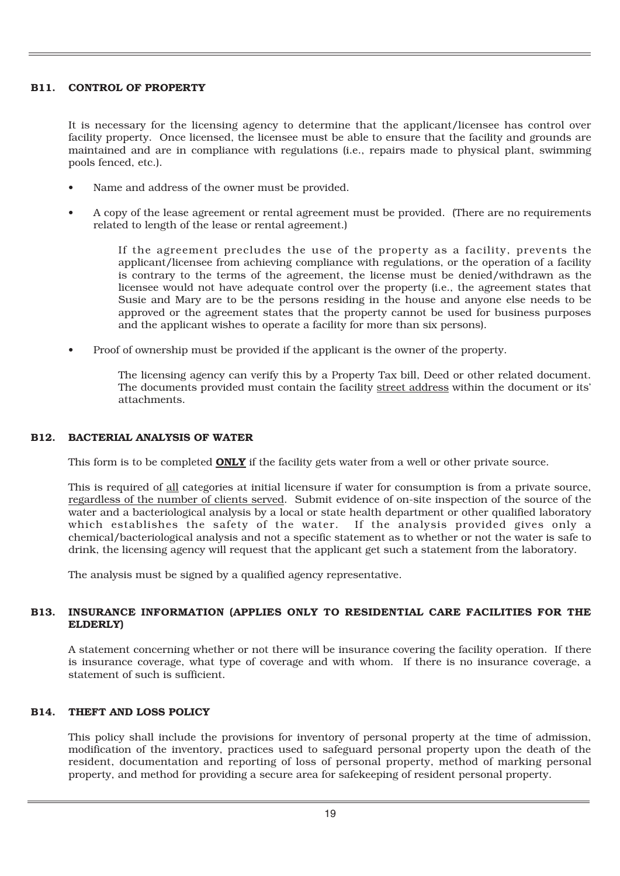#### B11. CONTROL OF PROPERTY

It is necessary for the licensing agency to determine that the applicant/licensee has control over facility property. Once licensed, the licensee must be able to ensure that the facility and grounds are maintained and are in compliance with regulations (i.e., repairs made to physical plant, swimming pools fenced, etc.).

- Name and address of the owner must be provided.
- A copy of the lease agreement or rental agreement must be provided. (There are no requirements related to length of the lease or rental agreement.)

If the agreement precludes the use of the property as a facility, prevents the applicant/licensee from achieving compliance with regulations, or the operation of a facility is contrary to the terms of the agreement, the license must be denied/withdrawn as the licensee would not have adequate control over the property (i.e., the agreement states that Susie and Mary are to be the persons residing in the house and anyone else needs to be approved or the agreement states that the property cannot be used for business purposes and the applicant wishes to operate a facility for more than six persons).

• Proof of ownership must be provided if the applicant is the owner of the property.

The licensing agency can verify this by a Property Tax bill, Deed or other related document. The documents provided must contain the facility street address within the document or its' attachments.

#### B12. BACTERIAL ANALYSIS OF WATER

This form is to be completed **ONLY** if the facility gets water from a well or other private source.

This is required of all categories at initial licensure if water for consumption is from a private source, regardless of the number of clients served. Submit evidence of on-site inspection of the source of the water and a bacteriological analysis by a local or state health department or other qualified laboratory which establishes the safety of the water. If the analysis provided gives only a chemical/bacteriological analysis and not a specific statement as to whether or not the water is safe to drink, the licensing agency will request that the applicant get such a statement from the laboratory.

The analysis must be signed by a qualified agency representative.

#### B13. INSURANCE INFORMATION (APPLIES ONLY TO RESIDENTIAL CARE FACILITIES FOR THE ELDERLY)

A statement concerning whether or not there will be insurance covering the facility operation. If there is insurance coverage, what type of coverage and with whom. If there is no insurance coverage, a statement of such is sufficient.

#### B14. THEFT AND LOSS POLICY

This policy shall include the provisions for inventory of personal property at the time of admission, modification of the inventory, practices used to safeguard personal property upon the death of the resident, documentation and reporting of loss of personal property, method of marking personal property, and method for providing a secure area for safekeeping of resident personal property.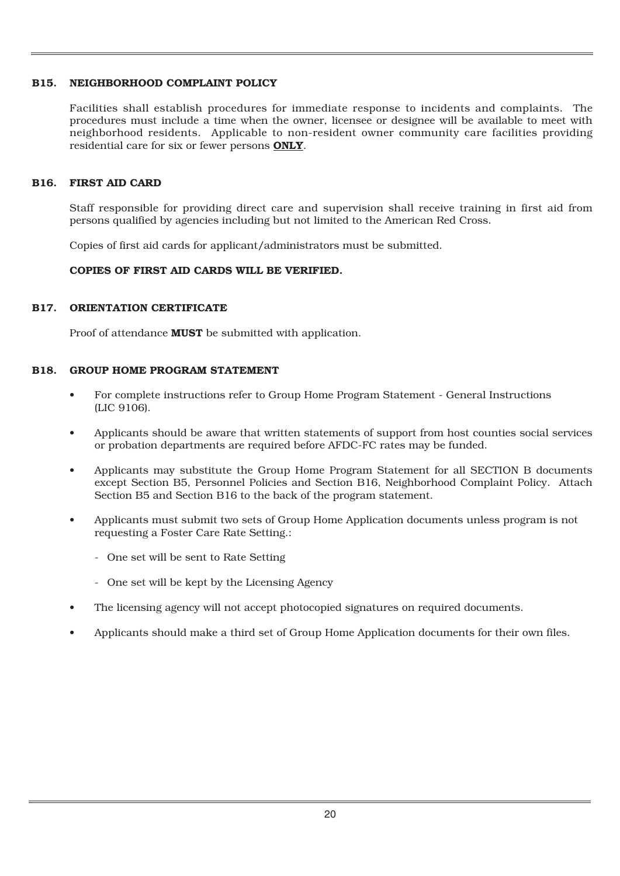#### B15. NEIGHBORHOOD COMPLAINT POLICY

Facilities shall establish procedures for immediate response to incidents and complaints. The procedures must include a time when the owner, licensee or designee will be available to meet with neighborhood residents. Applicable to non-resident owner community care facilities providing residential care for six or fewer persons ONLY.

#### B16. FIRST AID CARD

Staff responsible for providing direct care and supervision shall receive training in first aid from persons qualified by agencies including but not limited to the American Red Cross.

Copies of first aid cards for applicant/administrators must be submitted.

#### COPIES OF FIRST AID CARDS WILL BE VERIFIED.

#### B17. ORIENTATION CERTIFICATE

Proof of attendance **MUST** be submitted with application.

#### B18. GROUP HOME PROGRAM STATEMENT

- For complete instructions refer to Group Home Program Statement General Instructions (LIC 9106).
- Applicants should be aware that written statements of support from host counties social services or probation departments are required before AFDC-FC rates may be funded.
- Applicants may substitute the Group Home Program Statement for all SECTION B documents except Section B5, Personnel Policies and Section B16, Neighborhood Complaint Policy. Attach Section B5 and Section B16 to the back of the program statement.
- Applicants must submit two sets of Group Home Application documents unless program is not requesting a Foster Care Rate Setting.:
	- One set will be sent to Rate Setting
	- One set will be kept by the Licensing Agency
- The licensing agency will not accept photocopied signatures on required documents.
- Applicants should make a third set of Group Home Application documents for their own files.